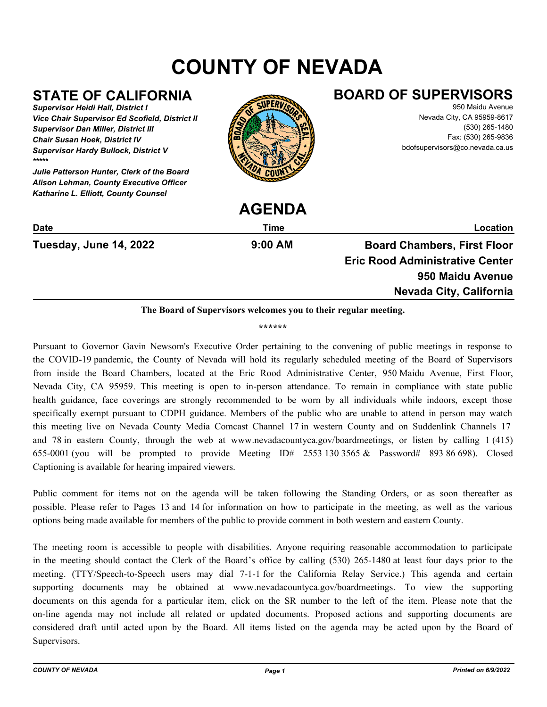# **COUNTY OF NEVADA**

# **STATE OF CALIFORNIA**

*Supervisor Heidi Hall, District I Vice Chair Supervisor Ed Scofield, District II Supervisor Dan Miller, District III Chair Susan Hoek, District IV Supervisor Hardy Bullock, District V \*\*\*\*\**

*Julie Patterson Hunter, Clerk of the Board Alison Lehman, County Executive Officer Katharine L. Elliott, County Counsel*



**AGENDA**

## **BOARD OF SUPERVISORS**

950 Maidu Avenue Nevada City, CA 95959-8617 (530) 265-1480 Fax: (530) 265-9836 bdofsupervisors@co.nevada.ca.us

|                        | AULINUA   |                                        |
|------------------------|-----------|----------------------------------------|
| <b>Date</b>            | Time      | Location                               |
| Tuesday, June 14, 2022 | $9:00$ AM | <b>Board Chambers, First Floor</b>     |
|                        |           | <b>Eric Rood Administrative Center</b> |
|                        |           | 950 Maidu Avenue                       |
|                        |           | Nevada City, California                |
|                        |           |                                        |

#### **The Board of Supervisors welcomes you to their regular meeting.**

**\*\*\*\*\*\***

Pursuant to Governor Gavin Newsom's Executive Order pertaining to the convening of public meetings in response to the COVID-19 pandemic, the County of Nevada will hold its regularly scheduled meeting of the Board of Supervisors from inside the Board Chambers, located at the Eric Rood Administrative Center, 950 Maidu Avenue, First Floor, Nevada City, CA 95959. This meeting is open to in-person attendance. To remain in compliance with state public health guidance, face coverings are strongly recommended to be worn by all individuals while indoors, except those specifically exempt pursuant to CDPH guidance. Members of the public who are unable to attend in person may watch this meeting live on Nevada County Media Comcast Channel 17 in western County and on Suddenlink Channels 17 and 78 in eastern County, through the web at www.nevadacountyca.gov/boardmeetings, or listen by calling 1 (415) 655-0001 (you will be prompted to provide Meeting  $ID# 2553 130 3565 \& Password# 893 86 698$ ). Closed Captioning is available for hearing impaired viewers.

Public comment for items not on the agenda will be taken following the Standing Orders, or as soon thereafter as possible. Please refer to Pages 13 and 14 for information on how to participate in the meeting, as well as the various options being made available for members of the public to provide comment in both western and eastern County.

The meeting room is accessible to people with disabilities. Anyone requiring reasonable accommodation to participate in the meeting should contact the Clerk of the Board's office by calling (530) 265-1480 at least four days prior to the meeting. (TTY/Speech-to-Speech users may dial 7-1-1 for the California Relay Service.) This agenda and certain supporting documents may be obtained at www.nevadacountyca.gov/boardmeetings. To view the supporting documents on this agenda for a particular item, click on the SR number to the left of the item. Please note that the on-line agenda may not include all related or updated documents. Proposed actions and supporting documents are considered draft until acted upon by the Board. All items listed on the agenda may be acted upon by the Board of Supervisors.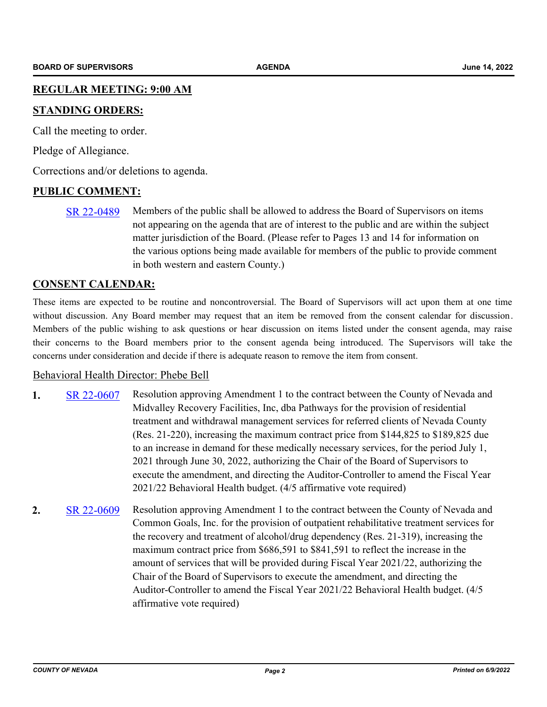#### **REGULAR MEETING: 9:00 AM**

#### **STANDING ORDERS:**

Call the meeting to order.

Pledge of Allegiance.

Corrections and/or deletions to agenda.

#### **PUBLIC COMMENT:**

[SR 22-0489](http://nevco.legistar.com/gateway.aspx?m=l&id=/matter.aspx?key=40817) Members of the public shall be allowed to address the Board of Supervisors on items not appearing on the agenda that are of interest to the public and are within the subject matter jurisdiction of the Board. (Please refer to Pages 13 and 14 for information on the various options being made available for members of the public to provide comment in both western and eastern County.)

#### **CONSENT CALENDAR:**

These items are expected to be routine and noncontroversial. The Board of Supervisors will act upon them at one time without discussion. Any Board member may request that an item be removed from the consent calendar for discussion. Members of the public wishing to ask questions or hear discussion on items listed under the consent agenda, may raise their concerns to the Board members prior to the consent agenda being introduced. The Supervisors will take the concerns under consideration and decide if there is adequate reason to remove the item from consent.

#### Behavioral Health Director: Phebe Bell

- 1. [SR 22-0607](http://nevco.legistar.com/gateway.aspx?m=l&id=/matter.aspx?key=40935) Resolution approving Amendment 1 to the contract between the County of Nevada and Midvalley Recovery Facilities, Inc, dba Pathways for the provision of residential treatment and withdrawal management services for referred clients of Nevada County (Res. 21-220), increasing the maximum contract price from \$144,825 to \$189,825 due to an increase in demand for these medically necessary services, for the period July 1, 2021 through June 30, 2022, authorizing the Chair of the Board of Supervisors to execute the amendment, and directing the Auditor-Controller to amend the Fiscal Year 2021/22 Behavioral Health budget. (4/5 affirmative vote required)
- **2.** [SR 22-0609](http://nevco.legistar.com/gateway.aspx?m=l&id=/matter.aspx?key=40937) Resolution approving Amendment 1 to the contract between the County of Nevada and Common Goals, Inc. for the provision of outpatient rehabilitative treatment services for the recovery and treatment of alcohol/drug dependency (Res. 21-319), increasing the maximum contract price from \$686,591 to \$841,591 to reflect the increase in the amount of services that will be provided during Fiscal Year 2021/22, authorizing the Chair of the Board of Supervisors to execute the amendment, and directing the Auditor-Controller to amend the Fiscal Year 2021/22 Behavioral Health budget. (4/5 affirmative vote required)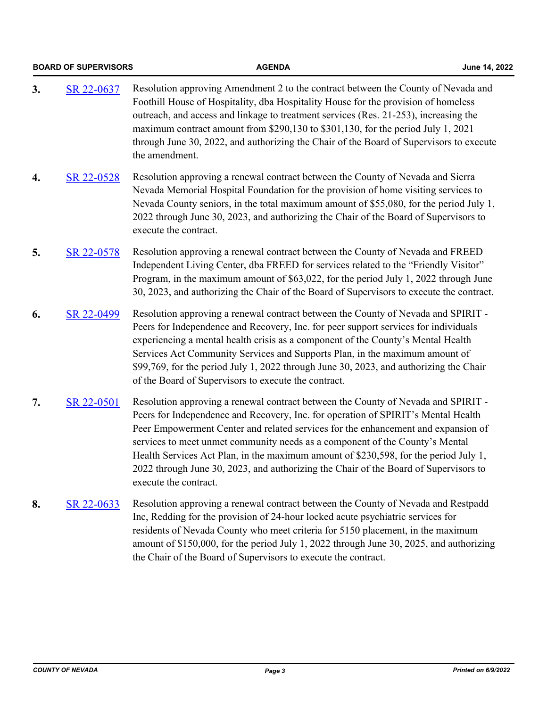|    | <b>BOARD OF SUPERVISORS</b> | <b>AGENDA</b>                                                                                                                                                                                                                                                                                                                                                                                                                                                                                                                                        | June 14, 2022 |
|----|-----------------------------|------------------------------------------------------------------------------------------------------------------------------------------------------------------------------------------------------------------------------------------------------------------------------------------------------------------------------------------------------------------------------------------------------------------------------------------------------------------------------------------------------------------------------------------------------|---------------|
| 3. | SR 22-0637                  | Resolution approving Amendment 2 to the contract between the County of Nevada and<br>Foothill House of Hospitality, dba Hospitality House for the provision of homeless<br>outreach, and access and linkage to treatment services (Res. 21-253), increasing the<br>maximum contract amount from \$290,130 to \$301,130, for the period July 1, 2021<br>through June 30, 2022, and authorizing the Chair of the Board of Supervisors to execute<br>the amendment.                                                                                     |               |
| 4. | SR 22-0528                  | Resolution approving a renewal contract between the County of Nevada and Sierra<br>Nevada Memorial Hospital Foundation for the provision of home visiting services to<br>Nevada County seniors, in the total maximum amount of \$55,080, for the period July 1,<br>2022 through June 30, 2023, and authorizing the Chair of the Board of Supervisors to<br>execute the contract.                                                                                                                                                                     |               |
| 5. | SR 22-0578                  | Resolution approving a renewal contract between the County of Nevada and FREED<br>Independent Living Center, dba FREED for services related to the "Friendly Visitor"<br>Program, in the maximum amount of \$63,022, for the period July 1, 2022 through June<br>30, 2023, and authorizing the Chair of the Board of Supervisors to execute the contract.                                                                                                                                                                                            |               |
| 6. | SR 22-0499                  | Resolution approving a renewal contract between the County of Nevada and SPIRIT -<br>Peers for Independence and Recovery, Inc. for peer support services for individuals<br>experiencing a mental health crisis as a component of the County's Mental Health<br>Services Act Community Services and Supports Plan, in the maximum amount of<br>\$99,769, for the period July 1, 2022 through June 30, 2023, and authorizing the Chair<br>of the Board of Supervisors to execute the contract.                                                        |               |
| 7. | SR 22-0501                  | Resolution approving a renewal contract between the County of Nevada and SPIRIT -<br>Peers for Independence and Recovery, Inc. for operation of SPIRIT's Mental Health<br>Peer Empowerment Center and related services for the enhancement and expansion of<br>services to meet unmet community needs as a component of the County's Mental<br>Health Services Act Plan, in the maximum amount of \$230,598, for the period July 1,<br>2022 through June 30, 2023, and authorizing the Chair of the Board of Supervisors to<br>execute the contract. |               |
| 8. | SR 22-0633                  | Resolution approving a renewal contract between the County of Nevada and Restpadd<br>Inc, Redding for the provision of 24-hour locked acute psychiatric services for<br>residents of Nevada County who meet criteria for 5150 placement, in the maximum<br>amount of \$150,000, for the period July 1, 2022 through June 30, 2025, and authorizing<br>the Chair of the Board of Supervisors to execute the contract.                                                                                                                                 |               |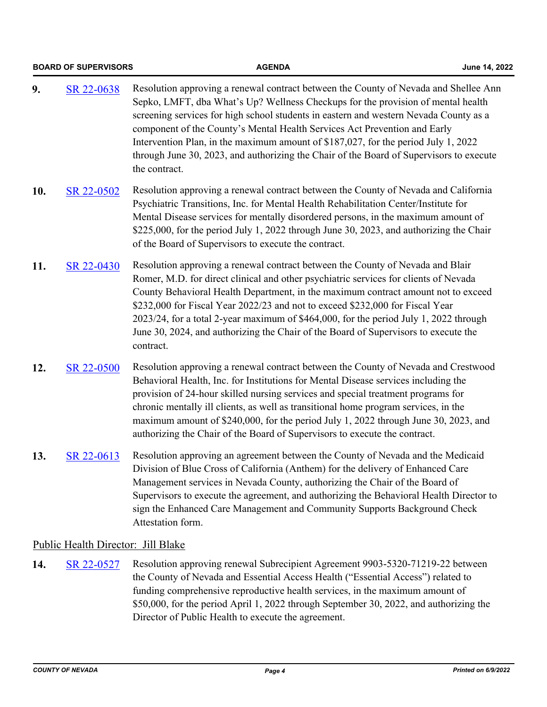|     | <b>BOARD OF SUPERVISORS</b>        | <b>AGENDA</b>                                                                                                                                                                                                                                                                                                                                                                                                                                                                                                                                    | June 14, 2022 |
|-----|------------------------------------|--------------------------------------------------------------------------------------------------------------------------------------------------------------------------------------------------------------------------------------------------------------------------------------------------------------------------------------------------------------------------------------------------------------------------------------------------------------------------------------------------------------------------------------------------|---------------|
| 9.  | SR 22-0638                         | Resolution approving a renewal contract between the County of Nevada and Shellee Ann<br>Sepko, LMFT, dba What's Up? Wellness Checkups for the provision of mental health<br>screening services for high school students in eastern and western Nevada County as a<br>component of the County's Mental Health Services Act Prevention and Early<br>Intervention Plan, in the maximum amount of \$187,027, for the period July 1, 2022<br>through June 30, 2023, and authorizing the Chair of the Board of Supervisors to execute<br>the contract. |               |
| 10. | SR 22-0502                         | Resolution approving a renewal contract between the County of Nevada and California<br>Psychiatric Transitions, Inc. for Mental Health Rehabilitation Center/Institute for<br>Mental Disease services for mentally disordered persons, in the maximum amount of<br>\$225,000, for the period July 1, 2022 through June 30, 2023, and authorizing the Chair<br>of the Board of Supervisors to execute the contract.                                                                                                                               |               |
| 11. | SR 22-0430                         | Resolution approving a renewal contract between the County of Nevada and Blair<br>Romer, M.D. for direct clinical and other psychiatric services for clients of Nevada<br>County Behavioral Health Department, in the maximum contract amount not to exceed<br>\$232,000 for Fiscal Year 2022/23 and not to exceed \$232,000 for Fiscal Year<br>2023/24, for a total 2-year maximum of \$464,000, for the period July 1, 2022 through<br>June 30, 2024, and authorizing the Chair of the Board of Supervisors to execute the<br>contract.        |               |
| 12. | SR 22-0500                         | Resolution approving a renewal contract between the County of Nevada and Crestwood<br>Behavioral Health, Inc. for Institutions for Mental Disease services including the<br>provision of 24-hour skilled nursing services and special treatment programs for<br>chronic mentally ill clients, as well as transitional home program services, in the<br>maximum amount of \$240,000, for the period July 1, 2022 through June 30, 2023, and<br>authorizing the Chair of the Board of Supervisors to execute the contract.                         |               |
| 13. | SR 22-0613                         | Resolution approving an agreement between the County of Nevada and the Medicaid<br>Division of Blue Cross of California (Anthem) for the delivery of Enhanced Care<br>Management services in Nevada County, authorizing the Chair of the Board of<br>Supervisors to execute the agreement, and authorizing the Behavioral Health Director to<br>sign the Enhanced Care Management and Community Supports Background Check<br>Attestation form.                                                                                                   |               |
|     | Public Health Director: Jill Blake |                                                                                                                                                                                                                                                                                                                                                                                                                                                                                                                                                  |               |
| 14. | SR 22-0527                         | Resolution approving renewal Subrecipient Agreement 9903-5320-71219-22 between<br>the County of Nevada and Essential Access Health ("Essential Access") related to<br>funding comprehensive reproductive health services, in the maximum amount of<br>\$50,000, for the period April 1, 2022 through September 30, 2022, and authorizing the<br>Director of Public Health to execute the agreement.                                                                                                                                              |               |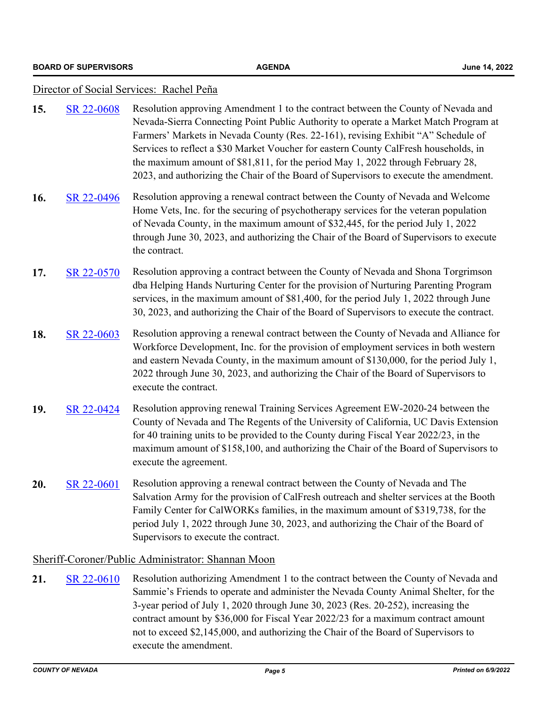#### Director of Social Services: Rachel Peña

| SR 22-0608<br>15.                                  | Resolution approving Amendment 1 to the contract between the County of Nevada and<br>Nevada-Sierra Connecting Point Public Authority to operate a Market Match Program at<br>Farmers' Markets in Nevada County (Res. 22-161), revising Exhibit "A" Schedule of<br>Services to reflect a \$30 Market Voucher for eastern County CalFresh households, in<br>the maximum amount of \$81,811, for the period May 1, 2022 through February 28,<br>2023, and authorizing the Chair of the Board of Supervisors to execute the amendment. |  |
|----------------------------------------------------|------------------------------------------------------------------------------------------------------------------------------------------------------------------------------------------------------------------------------------------------------------------------------------------------------------------------------------------------------------------------------------------------------------------------------------------------------------------------------------------------------------------------------------|--|
| 16.<br>SR 22-0496                                  | Resolution approving a renewal contract between the County of Nevada and Welcome<br>Home Vets, Inc. for the securing of psychotherapy services for the veteran population<br>of Nevada County, in the maximum amount of \$32,445, for the period July 1, 2022<br>through June 30, 2023, and authorizing the Chair of the Board of Supervisors to execute<br>the contract.                                                                                                                                                          |  |
| 17.<br>SR 22-0570                                  | Resolution approving a contract between the County of Nevada and Shona Torgrimson<br>dba Helping Hands Nurturing Center for the provision of Nurturing Parenting Program<br>services, in the maximum amount of \$81,400, for the period July 1, 2022 through June<br>30, 2023, and authorizing the Chair of the Board of Supervisors to execute the contract.                                                                                                                                                                      |  |
| 18.<br>SR 22-0603                                  | Resolution approving a renewal contract between the County of Nevada and Alliance for<br>Workforce Development, Inc. for the provision of employment services in both western<br>and eastern Nevada County, in the maximum amount of \$130,000, for the period July 1,<br>2022 through June 30, 2023, and authorizing the Chair of the Board of Supervisors to<br>execute the contract.                                                                                                                                            |  |
| 19.<br>SR 22-0424                                  | Resolution approving renewal Training Services Agreement EW-2020-24 between the<br>County of Nevada and The Regents of the University of California, UC Davis Extension<br>for 40 training units to be provided to the County during Fiscal Year 2022/23, in the<br>maximum amount of \$158,100, and authorizing the Chair of the Board of Supervisors to<br>execute the agreement.                                                                                                                                                |  |
| 20.<br>SR 22-0601                                  | Resolution approving a renewal contract between the County of Nevada and The<br>Salvation Army for the provision of CalFresh outreach and shelter services at the Booth<br>Family Center for CalWORKs families, in the maximum amount of \$319,738, for the<br>period July 1, 2022 through June 30, 2023, and authorizing the Chair of the Board of<br>Supervisors to execute the contract.                                                                                                                                        |  |
| Sheriff-Coroner/Public Administrator: Shannan Moon |                                                                                                                                                                                                                                                                                                                                                                                                                                                                                                                                    |  |

21. [SR 22-0610](http://nevco.legistar.com/gateway.aspx?m=l&id=/matter.aspx?key=40938) Resolution authorizing Amendment 1 to the contract between the County of Nevada and Sammie's Friends to operate and administer the Nevada County Animal Shelter, for the 3-year period of July 1, 2020 through June 30, 2023 (Res. 20-252), increasing the contract amount by \$36,000 for Fiscal Year 2022/23 for a maximum contract amount not to exceed \$2,145,000, and authorizing the Chair of the Board of Supervisors to execute the amendment.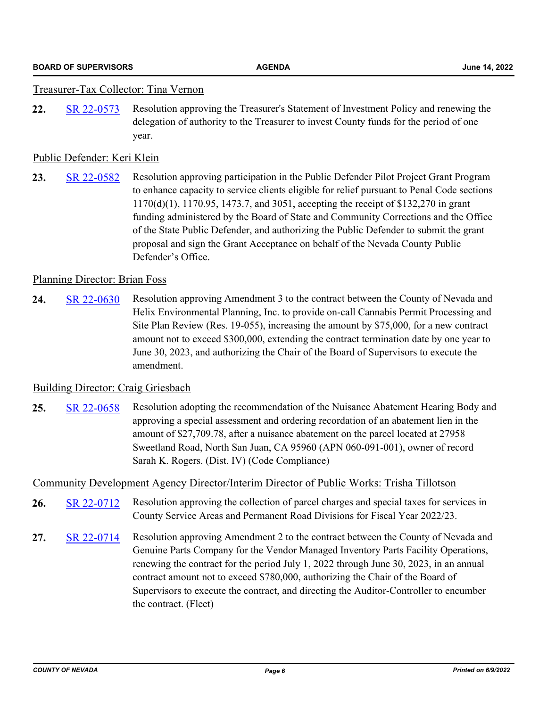#### Treasurer-Tax Collector: Tina Vernon

**22.** [SR 22-0573](http://nevco.legistar.com/gateway.aspx?m=l&id=/matter.aspx?key=40901) Resolution approving the Treasurer's Statement of Investment Policy and renewing the delegation of authority to the Treasurer to invest County funds for the period of one year.

#### Public Defender: Keri Klein

**23.** [SR 22-0582](http://nevco.legistar.com/gateway.aspx?m=l&id=/matter.aspx?key=40910) Resolution approving participation in the Public Defender Pilot Project Grant Program to enhance capacity to service clients eligible for relief pursuant to Penal Code sections 1170(d)(1), 1170.95, 1473.7, and 3051, accepting the receipt of \$132,270 in grant funding administered by the Board of State and Community Corrections and the Office of the State Public Defender, and authorizing the Public Defender to submit the grant proposal and sign the Grant Acceptance on behalf of the Nevada County Public Defender's Office.

#### Planning Director: Brian Foss

**24.** [SR 22-0630](http://nevco.legistar.com/gateway.aspx?m=l&id=/matter.aspx?key=40958) Resolution approving Amendment 3 to the contract between the County of Nevada and Helix Environmental Planning, Inc. to provide on-call Cannabis Permit Processing and Site Plan Review (Res. 19-055), increasing the amount by \$75,000, for a new contract amount not to exceed \$300,000, extending the contract termination date by one year to June 30, 2023, and authorizing the Chair of the Board of Supervisors to execute the amendment.

#### Building Director: Craig Griesbach

**25.** [SR 22-0658](http://nevco.legistar.com/gateway.aspx?m=l&id=/matter.aspx?key=40986) Resolution adopting the recommendation of the Nuisance Abatement Hearing Body and approving a special assessment and ordering recordation of an abatement lien in the amount of \$27,709.78, after a nuisance abatement on the parcel located at 27958 Sweetland Road, North San Juan, CA 95960 (APN 060-091-001), owner of record Sarah K. Rogers. (Dist. IV) (Code Compliance)

#### Community Development Agency Director/Interim Director of Public Works: Trisha Tillotson

- **26.** [SR 22-0712](http://nevco.legistar.com/gateway.aspx?m=l&id=/matter.aspx?key=41040) Resolution approving the collection of parcel charges and special taxes for services in County Service Areas and Permanent Road Divisions for Fiscal Year 2022/23.
- **27.** [SR 22-0714](http://nevco.legistar.com/gateway.aspx?m=l&id=/matter.aspx?key=41042) Resolution approving Amendment 2 to the contract between the County of Nevada and Genuine Parts Company for the Vendor Managed Inventory Parts Facility Operations, renewing the contract for the period July 1, 2022 through June 30, 2023, in an annual contract amount not to exceed \$780,000, authorizing the Chair of the Board of Supervisors to execute the contract, and directing the Auditor-Controller to encumber the contract. (Fleet)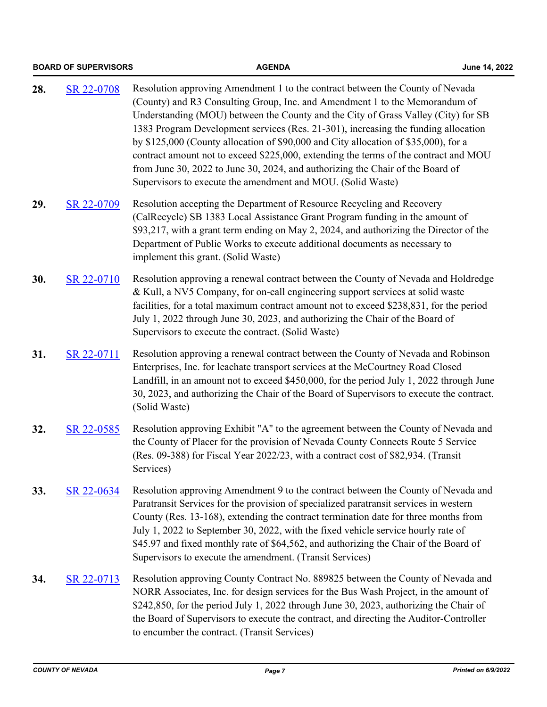|     | <b>BOARD OF SUPERVISORS</b> | <b>AGENDA</b>                                                                                                                                                                                                                                                                                                                                                                                                                                                                                                                                                                                                                                                           | June 14, 2022 |
|-----|-----------------------------|-------------------------------------------------------------------------------------------------------------------------------------------------------------------------------------------------------------------------------------------------------------------------------------------------------------------------------------------------------------------------------------------------------------------------------------------------------------------------------------------------------------------------------------------------------------------------------------------------------------------------------------------------------------------------|---------------|
| 28. | SR 22-0708                  | Resolution approving Amendment 1 to the contract between the County of Nevada<br>(County) and R3 Consulting Group, Inc. and Amendment 1 to the Memorandum of<br>Understanding (MOU) between the County and the City of Grass Valley (City) for SB<br>1383 Program Development services (Res. 21-301), increasing the funding allocation<br>by \$125,000 (County allocation of \$90,000 and City allocation of \$35,000), for a<br>contract amount not to exceed \$225,000, extending the terms of the contract and MOU<br>from June 30, 2022 to June 30, 2024, and authorizing the Chair of the Board of<br>Supervisors to execute the amendment and MOU. (Solid Waste) |               |
| 29. | SR 22-0709                  | Resolution accepting the Department of Resource Recycling and Recovery<br>(CalRecycle) SB 1383 Local Assistance Grant Program funding in the amount of<br>\$93,217, with a grant term ending on May 2, 2024, and authorizing the Director of the<br>Department of Public Works to execute additional documents as necessary to<br>implement this grant. (Solid Waste)                                                                                                                                                                                                                                                                                                   |               |
| 30. | SR 22-0710                  | Resolution approving a renewal contract between the County of Nevada and Holdredge<br>& Kull, a NV5 Company, for on-call engineering support services at solid waste<br>facilities, for a total maximum contract amount not to exceed \$238,831, for the period<br>July 1, 2022 through June 30, 2023, and authorizing the Chair of the Board of<br>Supervisors to execute the contract. (Solid Waste)                                                                                                                                                                                                                                                                  |               |
| 31. | SR 22-0711                  | Resolution approving a renewal contract between the County of Nevada and Robinson<br>Enterprises, Inc. for leachate transport services at the McCourtney Road Closed<br>Landfill, in an amount not to exceed \$450,000, for the period July 1, 2022 through June<br>30, 2023, and authorizing the Chair of the Board of Supervisors to execute the contract.<br>(Solid Waste)                                                                                                                                                                                                                                                                                           |               |
| 32. | SR 22-0585                  | Resolution approving Exhibit "A" to the agreement between the County of Nevada and<br>the County of Placer for the provision of Nevada County Connects Route 5 Service<br>(Res. 09-388) for Fiscal Year 2022/23, with a contract cost of \$82,934. (Transit<br>Services)                                                                                                                                                                                                                                                                                                                                                                                                |               |
| 33. | SR 22-0634                  | Resolution approving Amendment 9 to the contract between the County of Nevada and<br>Paratransit Services for the provision of specialized paratransit services in western<br>County (Res. 13-168), extending the contract termination date for three months from<br>July 1, 2022 to September 30, 2022, with the fixed vehicle service hourly rate of<br>\$45.97 and fixed monthly rate of \$64,562, and authorizing the Chair of the Board of<br>Supervisors to execute the amendment. (Transit Services)                                                                                                                                                             |               |
| 34. | SR 22-0713                  | Resolution approving County Contract No. 889825 between the County of Nevada and<br>NORR Associates, Inc. for design services for the Bus Wash Project, in the amount of<br>\$242,850, for the period July 1, 2022 through June 30, 2023, authorizing the Chair of<br>the Board of Supervisors to execute the contract, and directing the Auditor-Controller<br>to encumber the contract. (Transit Services)                                                                                                                                                                                                                                                            |               |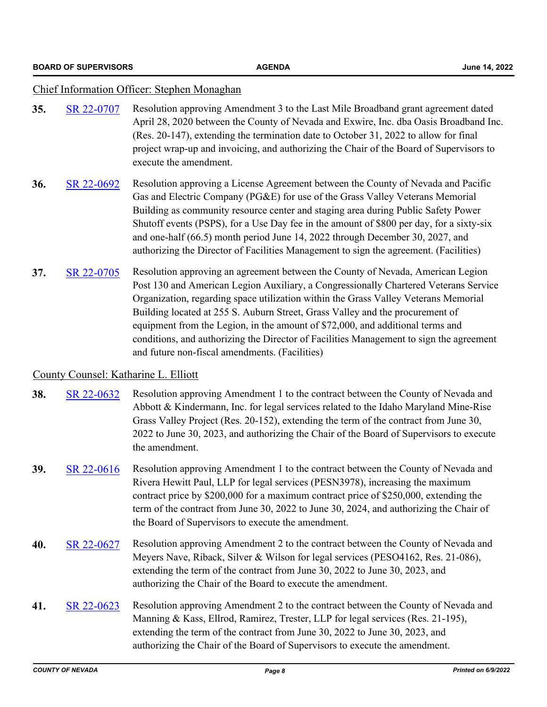#### Chief Information Officer: Stephen Monaghan

- **35.** [SR 22-0707](http://nevco.legistar.com/gateway.aspx?m=l&id=/matter.aspx?key=41035) Resolution approving Amendment 3 to the Last Mile Broadband grant agreement dated April 28, 2020 between the County of Nevada and Exwire, Inc. dba Oasis Broadband Inc. (Res. 20-147), extending the termination date to October 31, 2022 to allow for final project wrap-up and invoicing, and authorizing the Chair of the Board of Supervisors to execute the amendment.
- **36.** [SR 22-0692](http://nevco.legistar.com/gateway.aspx?m=l&id=/matter.aspx?key=41020) Resolution approving a License Agreement between the County of Nevada and Pacific Gas and Electric Company (PG&E) for use of the Grass Valley Veterans Memorial Building as community resource center and staging area during Public Safety Power Shutoff events (PSPS), for a Use Day fee in the amount of \$800 per day, for a sixty-six and one-half (66.5) month period June 14, 2022 through December 30, 2027, and authorizing the Director of Facilities Management to sign the agreement. (Facilities)
- **37.** [SR 22-0705](http://nevco.legistar.com/gateway.aspx?m=l&id=/matter.aspx?key=41033) Resolution approving an agreement between the County of Nevada, American Legion Post 130 and American Legion Auxiliary, a Congressionally Chartered Veterans Service Organization, regarding space utilization within the Grass Valley Veterans Memorial Building located at 255 S. Auburn Street, Grass Valley and the procurement of equipment from the Legion, in the amount of \$72,000, and additional terms and conditions, and authorizing the Director of Facilities Management to sign the agreement and future non-fiscal amendments. (Facilities)

#### County Counsel: Katharine L. Elliott

- **38.** [SR 22-0632](http://nevco.legistar.com/gateway.aspx?m=l&id=/matter.aspx?key=40960) Resolution approving Amendment 1 to the contract between the County of Nevada and Abbott & Kindermann, Inc. for legal services related to the Idaho Maryland Mine-Rise Grass Valley Project (Res. 20-152), extending the term of the contract from June 30, 2022 to June 30, 2023, and authorizing the Chair of the Board of Supervisors to execute the amendment.
- **39.** [SR 22-0616](http://nevco.legistar.com/gateway.aspx?m=l&id=/matter.aspx?key=40944) Resolution approving Amendment 1 to the contract between the County of Nevada and Rivera Hewitt Paul, LLP for legal services (PESN3978), increasing the maximum contract price by \$200,000 for a maximum contract price of \$250,000, extending the term of the contract from June 30, 2022 to June 30, 2024, and authorizing the Chair of the Board of Supervisors to execute the amendment.
- **40.** [SR 22-0627](http://nevco.legistar.com/gateway.aspx?m=l&id=/matter.aspx?key=40955) Resolution approving Amendment 2 to the contract between the County of Nevada and Meyers Nave, Riback, Silver & Wilson for legal services (PESO4162, Res. 21-086), extending the term of the contract from June 30, 2022 to June 30, 2023, and authorizing the Chair of the Board to execute the amendment.
- **41.** [SR 22-0623](http://nevco.legistar.com/gateway.aspx?m=l&id=/matter.aspx?key=40951) Resolution approving Amendment 2 to the contract between the County of Nevada and Manning & Kass, Ellrod, Ramirez, Trester, LLP for legal services (Res. 21-195), extending the term of the contract from June 30, 2022 to June 30, 2023, and authorizing the Chair of the Board of Supervisors to execute the amendment.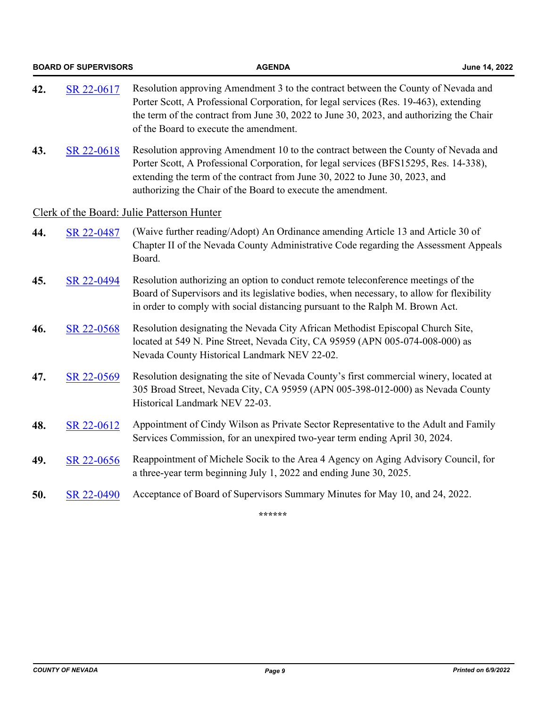| <b>BOARD OF SUPERVISORS</b> |            | <b>AGENDA</b>                                                                                                                                                                                                                                                                                                              | June 14, 2022 |
|-----------------------------|------------|----------------------------------------------------------------------------------------------------------------------------------------------------------------------------------------------------------------------------------------------------------------------------------------------------------------------------|---------------|
| 42.                         | SR 22-0617 | Resolution approving Amendment 3 to the contract between the County of Nevada and<br>Porter Scott, A Professional Corporation, for legal services (Res. 19-463), extending<br>the term of the contract from June 30, 2022 to June 30, 2023, and authorizing the Chair<br>of the Board to execute the amendment.            |               |
| 43.                         | SR 22-0618 | Resolution approving Amendment 10 to the contract between the County of Nevada and<br>Porter Scott, A Professional Corporation, for legal services (BFS15295, Res. 14-338),<br>extending the term of the contract from June 30, 2022 to June 30, 2023, and<br>authorizing the Chair of the Board to execute the amendment. |               |
|                             |            | Clerk of the Board: Julie Patterson Hunter                                                                                                                                                                                                                                                                                 |               |
| 44.                         | SR 22-0487 | (Waive further reading/Adopt) An Ordinance amending Article 13 and Article 30 of<br>Chapter II of the Nevada County Administrative Code regarding the Assessment Appeals<br>Board.                                                                                                                                         |               |
| 45.                         | SR 22-0494 | Resolution authorizing an option to conduct remote teleconference meetings of the<br>Board of Supervisors and its legislative bodies, when necessary, to allow for flexibility<br>in order to comply with social distancing pursuant to the Ralph M. Brown Act.                                                            |               |
| 46.                         | SR 22-0568 | Resolution designating the Nevada City African Methodist Episcopal Church Site,<br>located at 549 N. Pine Street, Nevada City, CA 95959 (APN 005-074-008-000) as<br>Nevada County Historical Landmark NEV 22-02.                                                                                                           |               |
| 47.                         | SR 22-0569 | Resolution designating the site of Nevada County's first commercial winery, located at<br>305 Broad Street, Nevada City, CA 95959 (APN 005-398-012-000) as Nevada County<br>Historical Landmark NEV 22-03.                                                                                                                 |               |
| 48.                         | SR 22-0612 | Appointment of Cindy Wilson as Private Sector Representative to the Adult and Family<br>Services Commission, for an unexpired two-year term ending April 30, 2024.                                                                                                                                                         |               |
| 49.                         | SR 22-0656 | Reappointment of Michele Socik to the Area 4 Agency on Aging Advisory Council, for<br>a three-year term beginning July 1, 2022 and ending June 30, 2025.                                                                                                                                                                   |               |
| 50.                         | SR 22-0490 | Acceptance of Board of Supervisors Summary Minutes for May 10, and 24, 2022.                                                                                                                                                                                                                                               |               |
|                             |            | ******                                                                                                                                                                                                                                                                                                                     |               |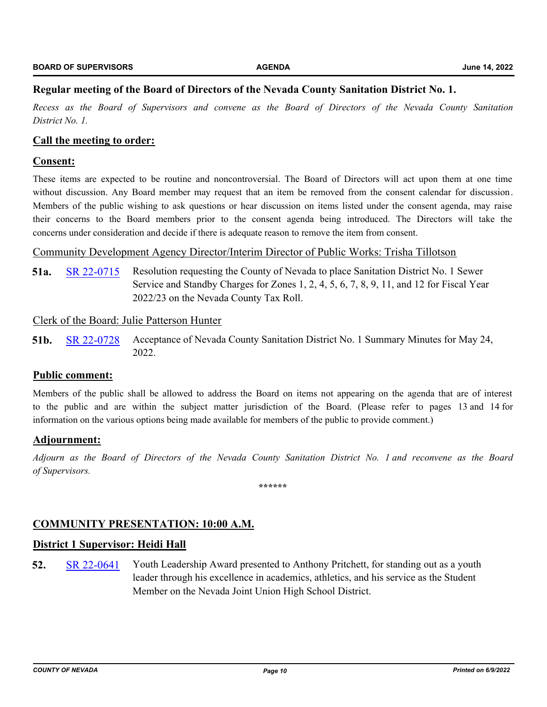#### **Regular meeting of the Board of Directors of the Nevada County Sanitation District No. 1.**

*Recess as the Board of Supervisors and convene as the Board of Directors of the Nevada County Sanitation District No. 1.*

#### **Call the meeting to order:**

#### **Consent:**

These items are expected to be routine and noncontroversial. The Board of Directors will act upon them at one time without discussion. Any Board member may request that an item be removed from the consent calendar for discussion. Members of the public wishing to ask questions or hear discussion on items listed under the consent agenda, may raise their concerns to the Board members prior to the consent agenda being introduced. The Directors will take the concerns under consideration and decide if there is adequate reason to remove the item from consent.

#### Community Development Agency Director/Interim Director of Public Works: Trisha Tillotson

**51a.** [SR 22-0715](http://nevco.legistar.com/gateway.aspx?m=l&id=/matter.aspx?key=41043) Resolution requesting the County of Nevada to place Sanitation District No. 1 Sewer Service and Standby Charges for Zones 1, 2, 4, 5, 6, 7, 8, 9, 11, and 12 for Fiscal Year 2022/23 on the Nevada County Tax Roll.

#### Clerk of the Board: Julie Patterson Hunter

**51b.** [SR 22-0728](http://nevco.legistar.com/gateway.aspx?m=l&id=/matter.aspx?key=41056) Acceptance of Nevada County Sanitation District No. 1 Summary Minutes for May 24, 2022.

#### **Public comment:**

Members of the public shall be allowed to address the Board on items not appearing on the agenda that are of interest to the public and are within the subject matter jurisdiction of the Board. (Please refer to pages 13 and 14 for information on the various options being made available for members of the public to provide comment.)

#### **Adjournment:**

*Adjourn as the Board of Directors of the Nevada County Sanitation District No. 1 and reconvene as the Board of Supervisors.*

**\*\*\*\*\*\***

#### **COMMUNITY PRESENTATION: 10:00 A.M.**

#### **District 1 Supervisor: Heidi Hall**

**52.** [SR 22-0641](http://nevco.legistar.com/gateway.aspx?m=l&id=/matter.aspx?key=40969) Youth Leadership Award presented to Anthony Pritchett, for standing out as a youth leader through his excellence in academics, athletics, and his service as the Student Member on the Nevada Joint Union High School District.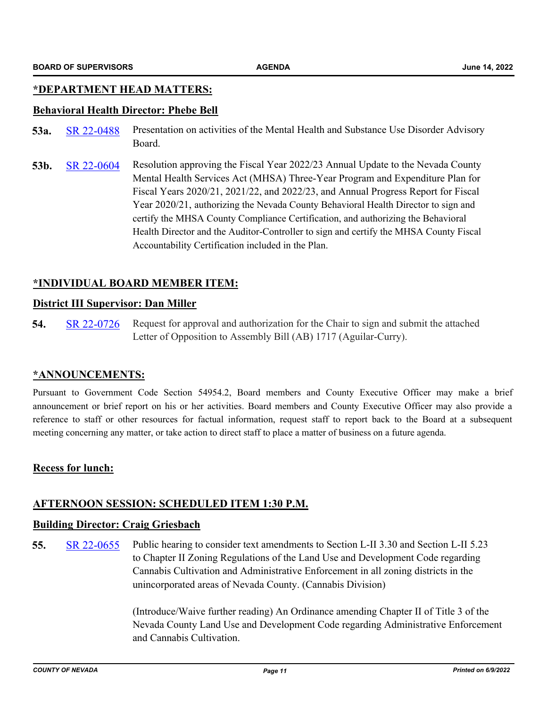#### **\*DEPARTMENT HEAD MATTERS:**

#### **Behavioral Health Director: Phebe Bell**

- 53a. [SR 22-0488](http://nevco.legistar.com/gateway.aspx?m=l&id=/matter.aspx?key=40816) Presentation on activities of the Mental Health and Substance Use Disorder Advisory Board.
- **53b.** [SR 22-0604](http://nevco.legistar.com/gateway.aspx?m=l&id=/matter.aspx?key=40932) Resolution approving the Fiscal Year 2022/23 Annual Update to the Nevada County Mental Health Services Act (MHSA) Three-Year Program and Expenditure Plan for Fiscal Years 2020/21, 2021/22, and 2022/23, and Annual Progress Report for Fiscal Year 2020/21, authorizing the Nevada County Behavioral Health Director to sign and certify the MHSA County Compliance Certification, and authorizing the Behavioral Health Director and the Auditor-Controller to sign and certify the MHSA County Fiscal Accountability Certification included in the Plan.

#### **\*INDIVIDUAL BOARD MEMBER ITEM:**

#### **District III Supervisor: Dan Miller**

**54.** [SR 22-0726](http://nevco.legistar.com/gateway.aspx?m=l&id=/matter.aspx?key=41054) Request for approval and authorization for the Chair to sign and submit the attached Letter of Opposition to Assembly Bill (AB) 1717 (Aguilar-Curry).

#### **\*ANNOUNCEMENTS:**

Pursuant to Government Code Section 54954.2, Board members and County Executive Officer may make a brief announcement or brief report on his or her activities. Board members and County Executive Officer may also provide a reference to staff or other resources for factual information, request staff to report back to the Board at a subsequent meeting concerning any matter, or take action to direct staff to place a matter of business on a future agenda.

#### **Recess for lunch:**

#### **AFTERNOON SESSION: SCHEDULED ITEM 1:30 P.M.**

#### **Building Director: Craig Griesbach**

**55.** [SR 22-0655](http://nevco.legistar.com/gateway.aspx?m=l&id=/matter.aspx?key=40983) Public hearing to consider text amendments to Section L-II 3.30 and Section L-II 5.23 to Chapter II Zoning Regulations of the Land Use and Development Code regarding Cannabis Cultivation and Administrative Enforcement in all zoning districts in the unincorporated areas of Nevada County. (Cannabis Division)

> (Introduce/Waive further reading) An Ordinance amending Chapter II of Title 3 of the Nevada County Land Use and Development Code regarding Administrative Enforcement and Cannabis Cultivation.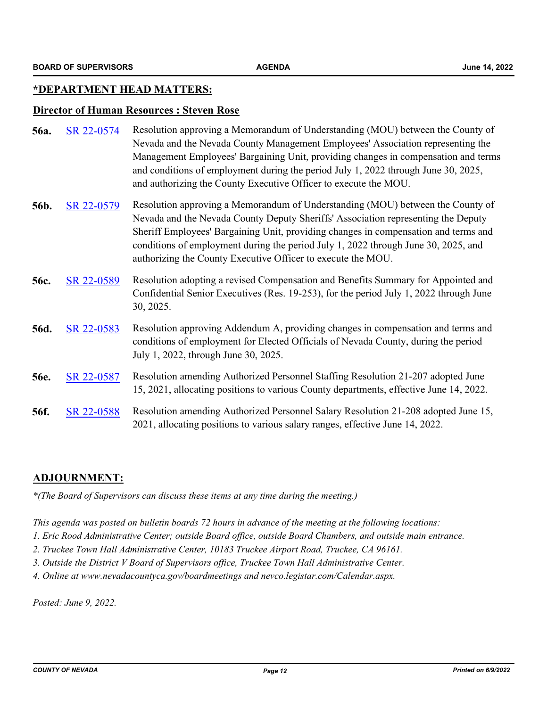#### **\*DEPARTMENT HEAD MATTERS:**

#### **Director of Human Resources : Steven Rose**

| 56a. | SR 22-0574 | Resolution approving a Memorandum of Understanding (MOU) between the County of<br>Nevada and the Nevada County Management Employees' Association representing the<br>Management Employees' Bargaining Unit, providing changes in compensation and terms<br>and conditions of employment during the period July 1, 2022 through June 30, 2025,<br>and authorizing the County Executive Officer to execute the MOU. |
|------|------------|-------------------------------------------------------------------------------------------------------------------------------------------------------------------------------------------------------------------------------------------------------------------------------------------------------------------------------------------------------------------------------------------------------------------|
| 56b. | SR 22-0579 | Resolution approving a Memorandum of Understanding (MOU) between the County of<br>Nevada and the Nevada County Deputy Sheriffs' Association representing the Deputy<br>Sheriff Employees' Bargaining Unit, providing changes in compensation and terms and<br>conditions of employment during the period July 1, 2022 through June 30, 2025, and<br>authorizing the County Executive Officer to execute the MOU.  |
| 56c. | SR 22-0589 | Resolution adopting a revised Compensation and Benefits Summary for Appointed and<br>Confidential Senior Executives (Res. 19-253), for the period July 1, 2022 through June<br>30, 2025.                                                                                                                                                                                                                          |
| 56d. | SR 22-0583 | Resolution approving Addendum A, providing changes in compensation and terms and<br>conditions of employment for Elected Officials of Nevada County, during the period<br>July 1, 2022, through June 30, 2025.                                                                                                                                                                                                    |
| 56e. | SR 22-0587 | Resolution amending Authorized Personnel Staffing Resolution 21-207 adopted June<br>15, 2021, allocating positions to various County departments, effective June 14, 2022.                                                                                                                                                                                                                                        |
| 56f. | SR 22-0588 | Resolution amending Authorized Personnel Salary Resolution 21-208 adopted June 15,<br>2021, allocating positions to various salary ranges, effective June 14, 2022.                                                                                                                                                                                                                                               |

#### **ADJOURNMENT:**

*\*(The Board of Supervisors can discuss these items at any time during the meeting.)*

*This agenda was posted on bulletin boards 72 hours in advance of the meeting at the following locations:*

*1. Eric Rood Administrative Center; outside Board office, outside Board Chambers, and outside main entrance.*

- *2. Truckee Town Hall Administrative Center, 10183 Truckee Airport Road, Truckee, CA 96161.*
- *3. Outside the District V Board of Supervisors office, Truckee Town Hall Administrative Center.*
- *4. Online at www.nevadacountyca.gov/boardmeetings and nevco.legistar.com/Calendar.aspx.*

*Posted: June 9, 2022.*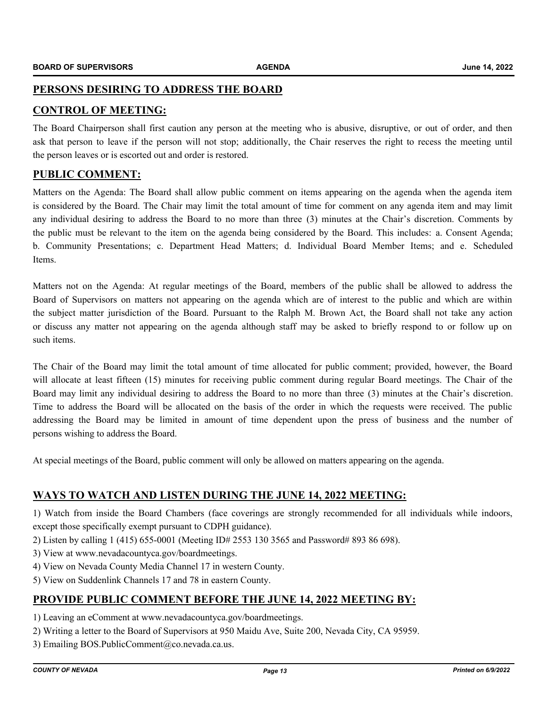#### **PERSONS DESIRING TO ADDRESS THE BOARD**

### **CONTROL OF MEETING:**

The Board Chairperson shall first caution any person at the meeting who is abusive, disruptive, or out of order, and then ask that person to leave if the person will not stop; additionally, the Chair reserves the right to recess the meeting until the person leaves or is escorted out and order is restored.

#### **PUBLIC COMMENT:**

Matters on the Agenda: The Board shall allow public comment on items appearing on the agenda when the agenda item is considered by the Board. The Chair may limit the total amount of time for comment on any agenda item and may limit any individual desiring to address the Board to no more than three (3) minutes at the Chair's discretion. Comments by the public must be relevant to the item on the agenda being considered by the Board. This includes: a. Consent Agenda; b. Community Presentations; c. Department Head Matters; d. Individual Board Member Items; and e. Scheduled Items.

Matters not on the Agenda: At regular meetings of the Board, members of the public shall be allowed to address the Board of Supervisors on matters not appearing on the agenda which are of interest to the public and which are within the subject matter jurisdiction of the Board. Pursuant to the Ralph M. Brown Act, the Board shall not take any action or discuss any matter not appearing on the agenda although staff may be asked to briefly respond to or follow up on such items.

The Chair of the Board may limit the total amount of time allocated for public comment; provided, however, the Board will allocate at least fifteen (15) minutes for receiving public comment during regular Board meetings. The Chair of the Board may limit any individual desiring to address the Board to no more than three (3) minutes at the Chair's discretion. Time to address the Board will be allocated on the basis of the order in which the requests were received. The public addressing the Board may be limited in amount of time dependent upon the press of business and the number of persons wishing to address the Board.

At special meetings of the Board, public comment will only be allowed on matters appearing on the agenda.

#### **WAYS TO WATCH AND LISTEN DURING THE JUNE 14, 2022 MEETING:**

1) Watch from inside the Board Chambers (face coverings are strongly recommended for all individuals while indoors, except those specifically exempt pursuant to CDPH guidance).

- 2) Listen by calling 1 (415) 655-0001 (Meeting ID# 2553 130 3565 and Password# 893 86 698).
- 3) View at www.nevadacountyca.gov/boardmeetings.
- 4) View on Nevada County Media Channel 17 in western County.
- 5) View on Suddenlink Channels 17 and 78 in eastern County.

#### **PROVIDE PUBLIC COMMENT BEFORE THE JUNE 14, 2022 MEETING BY:**

- 1) Leaving an eComment at www.nevadacountyca.gov/boardmeetings.
- 2) Writing a letter to the Board of Supervisors at 950 Maidu Ave, Suite 200, Nevada City, CA 95959.
- 3) Emailing BOS.PublicComment@co.nevada.ca.us.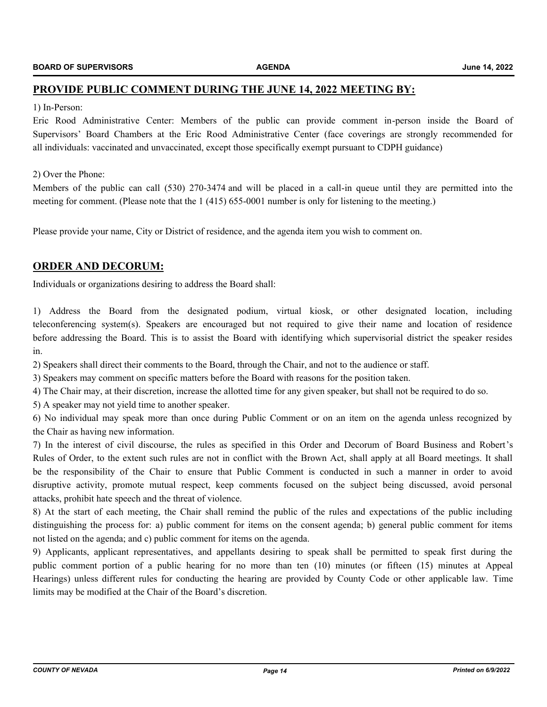#### **PROVIDE PUBLIC COMMENT DURING THE JUNE 14, 2022 MEETING BY:**

#### 1) In-Person:

Eric Rood Administrative Center: Members of the public can provide comment in-person inside the Board of Supervisors' Board Chambers at the Eric Rood Administrative Center (face coverings are strongly recommended for all individuals: vaccinated and unvaccinated, except those specifically exempt pursuant to CDPH guidance)

#### 2) Over the Phone:

Members of the public can call (530) 270-3474 and will be placed in a call-in queue until they are permitted into the meeting for comment. (Please note that the 1 (415) 655-0001 number is only for listening to the meeting.)

Please provide your name, City or District of residence, and the agenda item you wish to comment on.

#### **ORDER AND DECORUM:**

Individuals or organizations desiring to address the Board shall:

1) Address the Board from the designated podium, virtual kiosk, or other designated location, including teleconferencing system(s). Speakers are encouraged but not required to give their name and location of residence before addressing the Board. This is to assist the Board with identifying which supervisorial district the speaker resides in.

2) Speakers shall direct their comments to the Board, through the Chair, and not to the audience or staff.

3) Speakers may comment on specific matters before the Board with reasons for the position taken.

4) The Chair may, at their discretion, increase the allotted time for any given speaker, but shall not be required to do so.

5) A speaker may not yield time to another speaker.

6) No individual may speak more than once during Public Comment or on an item on the agenda unless recognized by the Chair as having new information.

7) In the interest of civil discourse, the rules as specified in this Order and Decorum of Board Business and Robert's Rules of Order, to the extent such rules are not in conflict with the Brown Act, shall apply at all Board meetings. It shall be the responsibility of the Chair to ensure that Public Comment is conducted in such a manner in order to avoid disruptive activity, promote mutual respect, keep comments focused on the subject being discussed, avoid personal attacks, prohibit hate speech and the threat of violence.

8) At the start of each meeting, the Chair shall remind the public of the rules and expectations of the public including distinguishing the process for: a) public comment for items on the consent agenda; b) general public comment for items not listed on the agenda; and c) public comment for items on the agenda.

9) Applicants, applicant representatives, and appellants desiring to speak shall be permitted to speak first during the public comment portion of a public hearing for no more than ten (10) minutes (or fifteen (15) minutes at Appeal Hearings) unless different rules for conducting the hearing are provided by County Code or other applicable law. Time limits may be modified at the Chair of the Board's discretion.